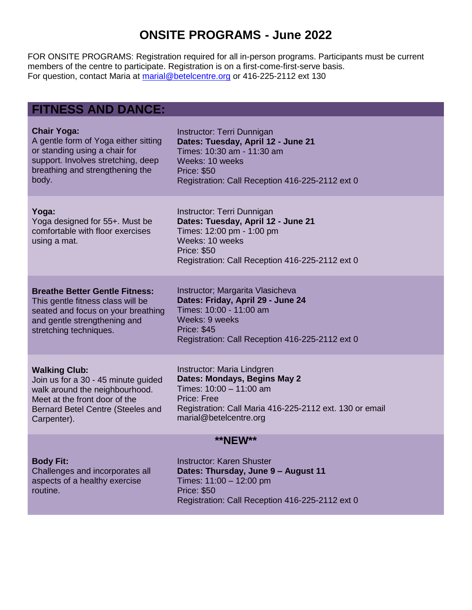## **ONSITE PROGRAMS - June 2022**

FOR ONSITE PROGRAMS: Registration required for all in-person programs. Participants must be current members of the centre to participate. Registration is on a first-come-first-serve basis. For question, contact Maria at [marial@betelcentre.org](mailto:marial@betelcentre.org) or 416-225-2112 ext 130

### **FITNESS AND DANCE:**

routine.

| <b>Chair Yoga:</b>                                                                                                                                                         | Instructor: Terri Dunnigan                                                                                                                                                                  |  |
|----------------------------------------------------------------------------------------------------------------------------------------------------------------------------|---------------------------------------------------------------------------------------------------------------------------------------------------------------------------------------------|--|
| A gentle form of Yoga either sitting                                                                                                                                       | Dates: Tuesday, April 12 - June 21                                                                                                                                                          |  |
| or standing using a chair for                                                                                                                                              | Times: 10:30 am - 11:30 am                                                                                                                                                                  |  |
| support. Involves stretching, deep                                                                                                                                         | Weeks: 10 weeks                                                                                                                                                                             |  |
| breathing and strengthening the                                                                                                                                            | <b>Price: \$50</b>                                                                                                                                                                          |  |
| body.                                                                                                                                                                      | Registration: Call Reception 416-225-2112 ext 0                                                                                                                                             |  |
| Yoga:<br>Yoga designed for 55+. Must be<br>comfortable with floor exercises<br>using a mat.                                                                                | Instructor: Terri Dunnigan<br>Dates: Tuesday, April 12 - June 21<br>Times: 12:00 pm - 1:00 pm<br>Weeks: 10 weeks<br><b>Price: \$50</b><br>Registration: Call Reception 416-225-2112 ext 0   |  |
| <b>Breathe Better Gentle Fitness:</b><br>This gentle fitness class will be<br>seated and focus on your breathing<br>and gentle strengthening and<br>stretching techniques. | Instructor; Margarita Vlasicheva<br>Dates: Friday, April 29 - June 24<br>Times: 10:00 - 11:00 am<br>Weeks: 9 weeks<br><b>Price: \$45</b><br>Registration: Call Reception 416-225-2112 ext 0 |  |
| <b>Walking Club:</b>                                                                                                                                                       | Instructor: Maria Lindgren                                                                                                                                                                  |  |
| Join us for a 30 - 45 minute guided                                                                                                                                        | Dates: Mondays, Begins May 2                                                                                                                                                                |  |
| walk around the neighbourhood.                                                                                                                                             | Times: 10:00 - 11:00 am                                                                                                                                                                     |  |
| Meet at the front door of the                                                                                                                                              | Price: Free                                                                                                                                                                                 |  |
| Bernard Betel Centre (Steeles and                                                                                                                                          | Registration: Call Maria 416-225-2112 ext. 130 or email                                                                                                                                     |  |
| Carpenter).                                                                                                                                                                | marial@betelcentre.org                                                                                                                                                                      |  |
| <b>**NEW**</b>                                                                                                                                                             |                                                                                                                                                                                             |  |
| <b>Body Fit:</b>                                                                                                                                                           | <b>Instructor: Karen Shuster</b>                                                                                                                                                            |  |
| Challenges and incorporates all                                                                                                                                            | Dates: Thursday, June 9 - August 11                                                                                                                                                         |  |
| aspects of a healthy exercise                                                                                                                                              | Times: 11:00 - 12:00 pm                                                                                                                                                                     |  |

Price: \$50

Registration: Call Reception 416-225-2112 ext 0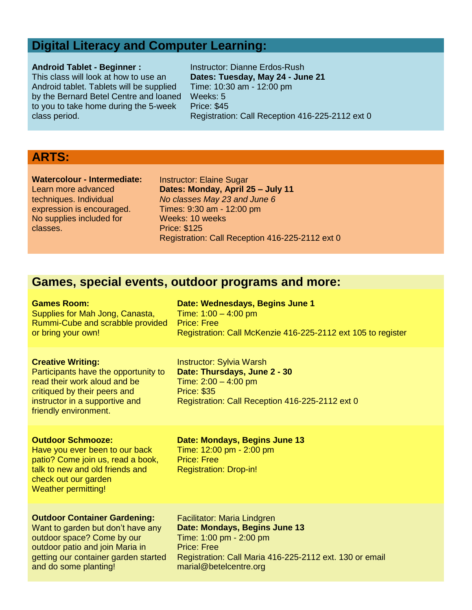### **Digital Literacy and Computer Learning:**

#### **Android Tablet - Beginner :**

This class will look at how to use an Android tablet. Tablets will be supplied by the Bernard Betel Centre and loaned to you to take home during the 5-week class period.

Instructor: Dianne Erdos-Rush **Dates: Tuesday, May 24 - June 21** Time: 10:30 am - 12:00 pm Weeks: 5 Price: \$45 Registration: Call Reception 416-225-2112 ext 0

## **ARTS:**

**Watercolour - Intermediate:** Learn more advanced techniques. Individual expression is encouraged. No supplies included for classes.

Instructor: Elaine Sugar **Dates: Monday, April 25 – July 11** *No classes May 23 and June 6* Times: 9:30 am - 12:00 pm Weeks: 10 weeks Price: \$125 Registration: Call Reception 416-225-2112 ext 0

### **Games, special events, outdoor programs and more:**

| <b>Games Room:</b>                                                                                                                                                                          | Date: Wednesdays, Begins June 1                                                                                                                                    |
|---------------------------------------------------------------------------------------------------------------------------------------------------------------------------------------------|--------------------------------------------------------------------------------------------------------------------------------------------------------------------|
| Supplies for Mah Jong, Canasta,                                                                                                                                                             | Time: $1:00 - 4:00$ pm                                                                                                                                             |
| Rummi-Cube and scrabble provided                                                                                                                                                            | <b>Price: Free</b>                                                                                                                                                 |
| or bring your own!                                                                                                                                                                          | Registration: Call McKenzie 416-225-2112 ext 105 to register                                                                                                       |
| <b>Creative Writing:</b><br>Participants have the opportunity to<br>read their work aloud and be<br>critiqued by their peers and<br>instructor in a supportive and<br>friendly environment. | <b>Instructor: Sylvia Warsh</b><br>Date: Thursdays, June 2 - 30<br>Time: $2:00 - 4:00$ pm<br><b>Price: \$35</b><br>Registration: Call Reception 416-225-2112 ext 0 |
| <b>Outdoor Schmooze:</b><br>Have you ever been to our back<br>patio? Come join us, read a book,<br>talk to new and old friends and<br>check out our garden<br><b>Weather permitting!</b>    | Date: Mondays, Begins June 13<br>Time: 12:00 pm - 2:00 pm<br><b>Price: Free</b><br><b>Registration: Drop-in!</b>                                                   |
| <b>Outdoor Container Gardening:</b>                                                                                                                                                         | Facilitator: Maria Lindgren                                                                                                                                        |
| Want to garden but don't have any                                                                                                                                                           | Date: Mondays, Begins June 13                                                                                                                                      |
| outdoor space? Come by our                                                                                                                                                                  | Time: 1:00 pm - 2:00 pm                                                                                                                                            |
| outdoor patio and join Maria in                                                                                                                                                             | <b>Price: Free</b>                                                                                                                                                 |
| getting our container garden started                                                                                                                                                        | Registration: Call Maria 416-225-2112 ext. 130 or email                                                                                                            |
| and do some planting!                                                                                                                                                                       | marial@betelcentre.org                                                                                                                                             |